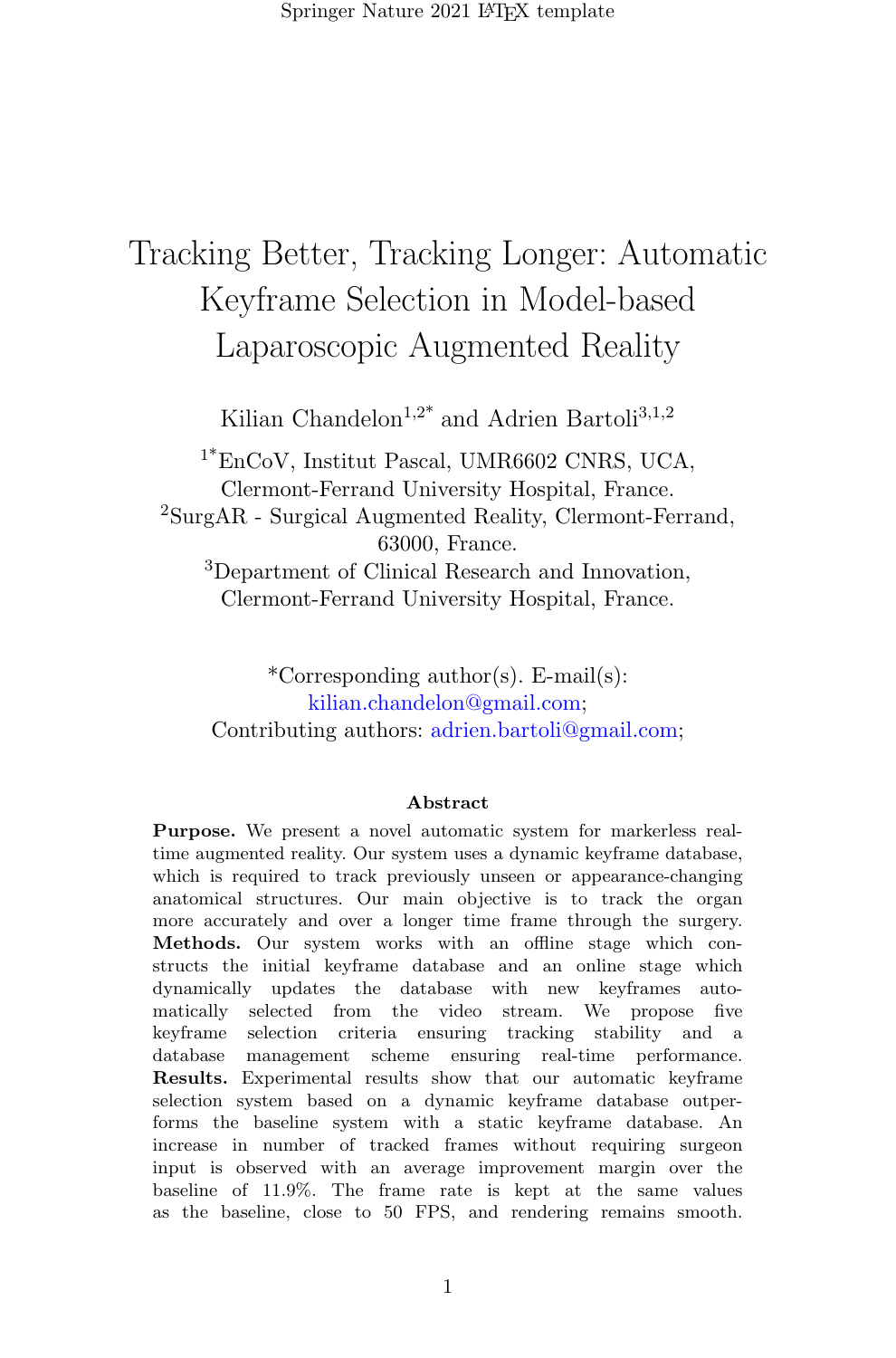# Tracking Better, Tracking Longer: Automatic Keyframe Selection in Model-based Laparoscopic Augmented Reality

Kilian Chandelon<sup>1,2\*</sup> and Adrien Bartoli<sup>3,1,2</sup>

<sup>1\*</sup>EnCoV, Institut Pascal, UMR6602 CNRS, UCA, Clermont-Ferrand University Hospital, France. <sup>2</sup>SurgAR - Surgical Augmented Reality, Clermont-Ferrand, 63000, France. <sup>3</sup>Department of Clinical Research and Innovation, Clermont-Ferrand University Hospital, France.

\*Corresponding author(s). E-mail(s): kilian.chandelon@gmail.com; Contributing authors: adrien.bartoli@gmail.com;

#### Abstract

Purpose. We present a novel automatic system for markerless realtime augmented reality. Our system uses a dynamic keyframe database, which is required to track previously unseen or appearance-changing anatomical structures. Our main objective is to track the organ more accurately and over a longer time frame through the surgery. Methods. Our system works with an offline stage which constructs the initial keyframe database and an online stage which dynamically updates the database with new keyframes automatically selected from the video stream. We propose five keyframe selection criteria ensuring tracking stability and a database management scheme ensuring real-time performance. Results. Experimental results show that our automatic keyframe selection system based on a dynamic keyframe database outperforms the baseline system with a static keyframe database. An increase in number of tracked frames without requiring surgeon input is observed with an average improvement margin over the baseline of 11.9%. The frame rate is kept at the same values as the baseline, close to 50 FPS, and rendering remains smooth.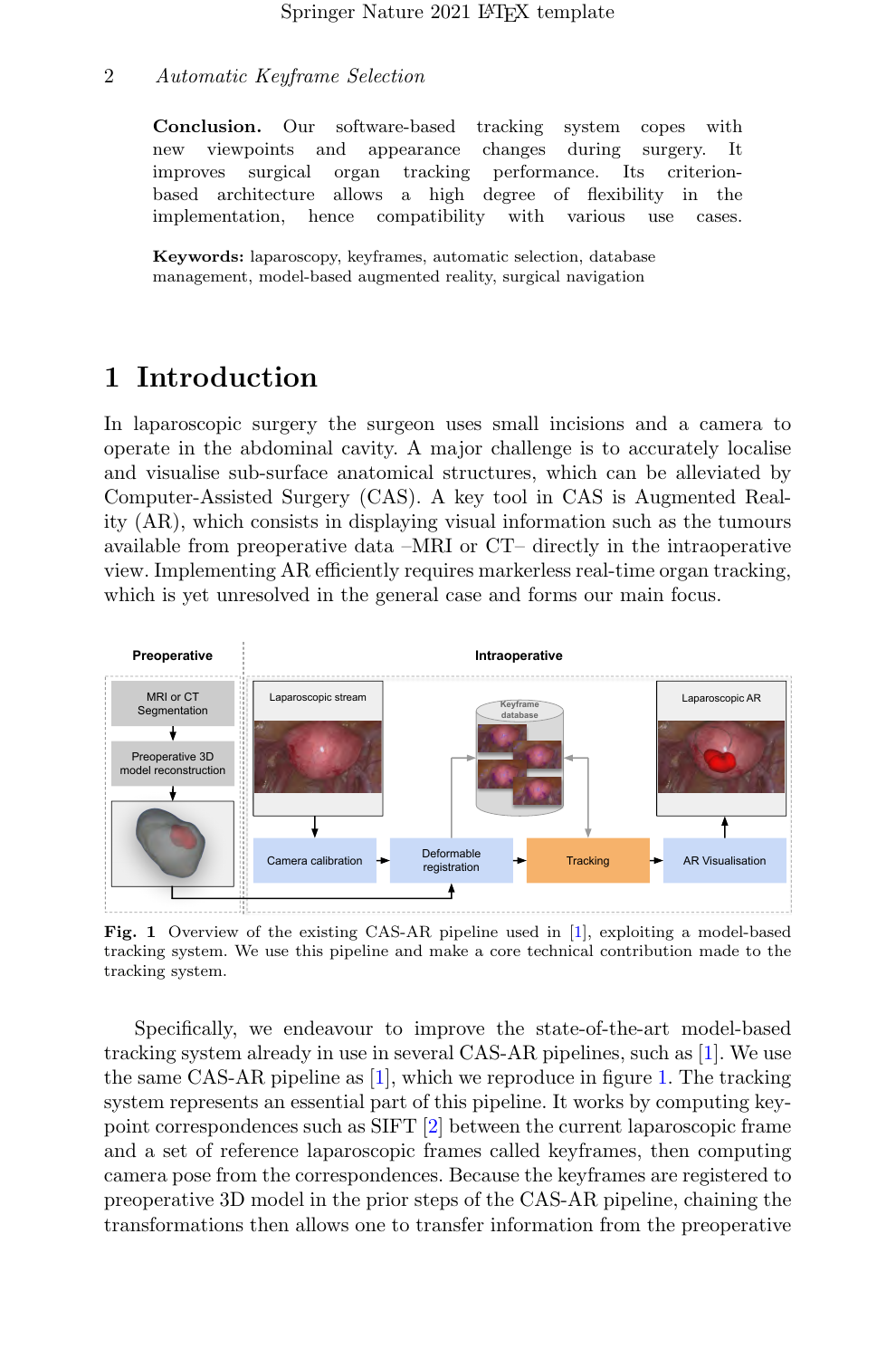Conclusion. Our software-based tracking system copes with new viewpoints and appearance changes during surgery. It improves surgical organ tracking performance. Its criterionbased architecture allows a high degree of flexibility in the implementation, hence compatibility with various use cases.

Keywords: laparoscopy, keyframes, automatic selection, database management, model-based augmented reality, surgical navigation

## 1 Introduction

In laparoscopic surgery the surgeon uses small incisions and a camera to operate in the abdominal cavity. A major challenge is to accurately localise and visualise sub-surface anatomical structures, which can be alleviated by Computer-Assisted Surgery (CAS). A key tool in CAS is Augmented Reality (AR), which consists in displaying visual information such as the tumours available from preoperative data –MRI or CT– directly in the intraoperative view. Implementing AR efficiently requires markerless real-time organ tracking, which is yet unresolved in the general case and forms our main focus.



<span id="page-1-0"></span>Fig. 1 Overview of the existing CAS-AR pipeline used in [\[1\]](#page-7-0), exploiting a model-based tracking system. We use this pipeline and make a core technical contribution made to the tracking system.

Specifically, we endeavour to improve the state-of-the-art model-based tracking system already in use in several CAS-AR pipelines, such as [\[1\]](#page-7-0). We use the same CAS-AR pipeline as [\[1\]](#page-7-0), which we reproduce in figure [1.](#page-1-0) The tracking system represents an essential part of this pipeline. It works by computing keypoint correspondences such as SIFT [\[2\]](#page-7-1) between the current laparoscopic frame and a set of reference laparoscopic frames called keyframes, then computing camera pose from the correspondences. Because the keyframes are registered to preoperative 3D model in the prior steps of the CAS-AR pipeline, chaining the transformations then allows one to transfer information from the preoperative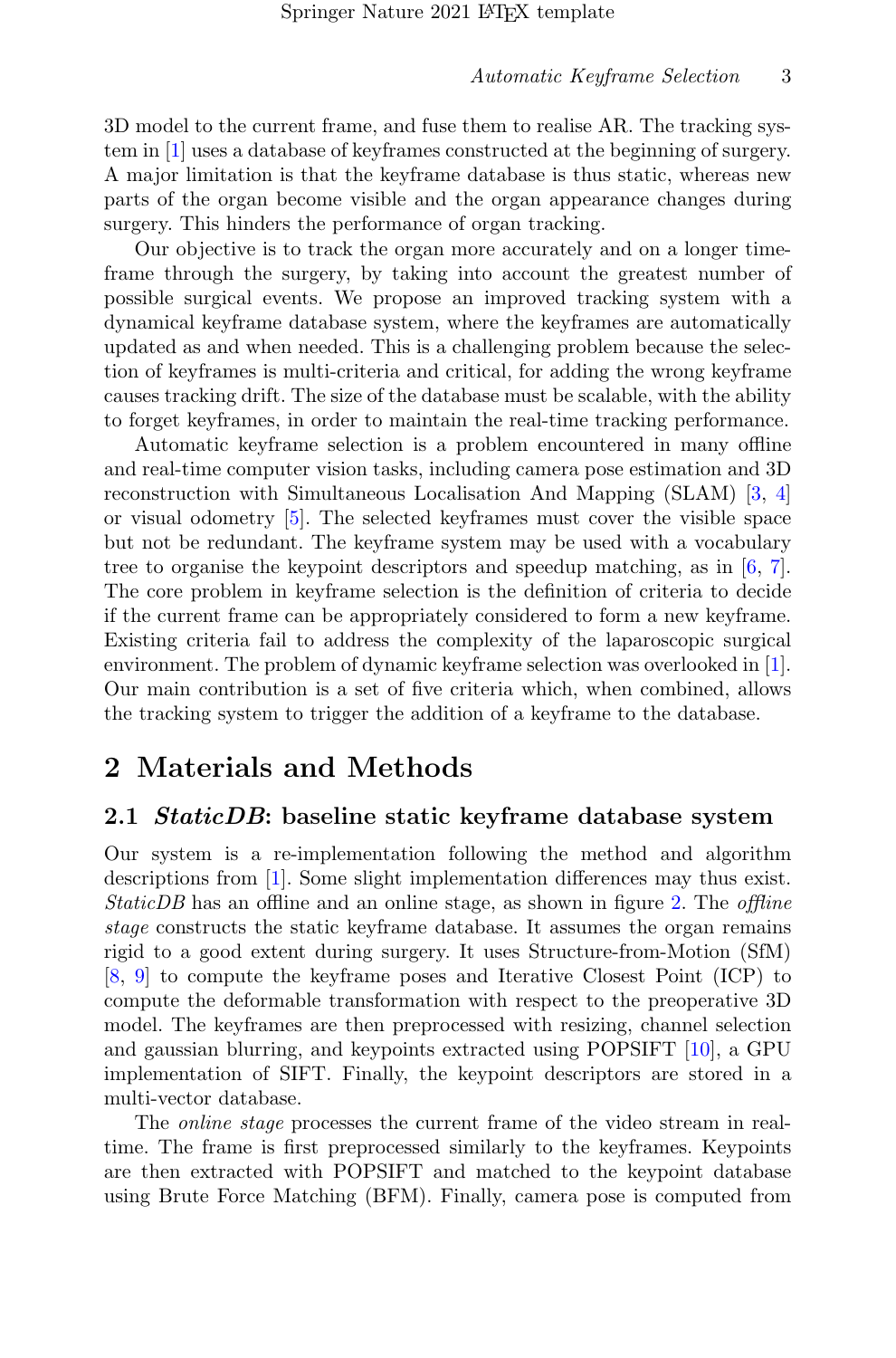3D model to the current frame, and fuse them to realise AR. The tracking system in [\[1\]](#page-7-0) uses a database of keyframes constructed at the beginning of surgery. A major limitation is that the keyframe database is thus static, whereas new parts of the organ become visible and the organ appearance changes during surgery. This hinders the performance of organ tracking.

Our objective is to track the organ more accurately and on a longer timeframe through the surgery, by taking into account the greatest number of possible surgical events. We propose an improved tracking system with a dynamical keyframe database system, where the keyframes are automatically updated as and when needed. This is a challenging problem because the selection of keyframes is multi-criteria and critical, for adding the wrong keyframe causes tracking drift. The size of the database must be scalable, with the ability to forget keyframes, in order to maintain the real-time tracking performance.

Automatic keyframe selection is a problem encountered in many offline and real-time computer vision tasks, including camera pose estimation and 3D reconstruction with Simultaneous Localisation And Mapping (SLAM) [\[3,](#page-7-2) [4\]](#page-7-3) or visual odometry [\[5\]](#page-7-4). The selected keyframes must cover the visible space but not be redundant. The keyframe system may be used with a vocabulary tree to organise the keypoint descriptors and speedup matching, as in [\[6,](#page-7-5) [7\]](#page-7-6). The core problem in keyframe selection is the definition of criteria to decide if the current frame can be appropriately considered to form a new keyframe. Existing criteria fail to address the complexity of the laparoscopic surgical environment. The problem of dynamic keyframe selection was overlooked in [\[1\]](#page-7-0). Our main contribution is a set of five criteria which, when combined, allows the tracking system to trigger the addition of a keyframe to the database.

## 2 Materials and Methods

#### 2.1 *StaticDB*: baseline static keyframe database system

Our system is a re-implementation following the method and algorithm descriptions from [\[1\]](#page-7-0). Some slight implementation differences may thus exist. StaticDB has an offline and an online stage, as shown in figure [2.](#page-3-0) The offline stage constructs the static keyframe database. It assumes the organ remains rigid to a good extent during surgery. It uses Structure-from-Motion (SfM) [\[8,](#page-7-7) [9\]](#page-7-8) to compute the keyframe poses and Iterative Closest Point (ICP) to compute the deformable transformation with respect to the preoperative 3D model. The keyframes are then preprocessed with resizing, channel selection and gaussian blurring, and keypoints extracted using POPSIFT [\[10\]](#page-7-9), a GPU implementation of SIFT. Finally, the keypoint descriptors are stored in a multi-vector database.

The online stage processes the current frame of the video stream in realtime. The frame is first preprocessed similarly to the keyframes. Keypoints are then extracted with POPSIFT and matched to the keypoint database using Brute Force Matching (BFM). Finally, camera pose is computed from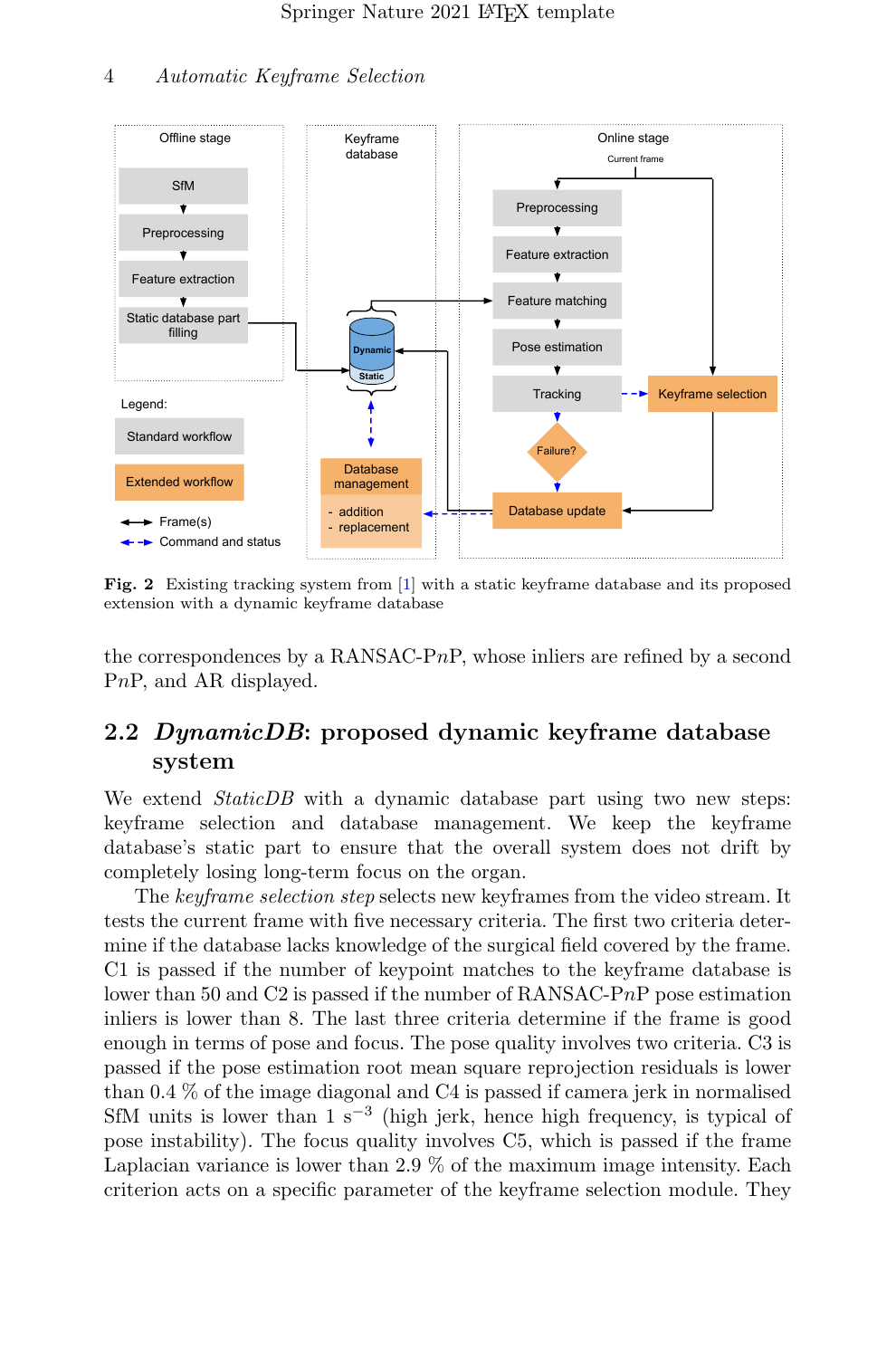

<span id="page-3-0"></span>Fig. 2 Existing tracking system from [\[1\]](#page-7-0) with a static keyframe database and its proposed extension with a dynamic keyframe database

the correspondences by a RANSAC-P $nP$ , whose inliers are refined by a second PnP, and AR displayed.

### 2.2 DynamicDB: proposed dynamic keyframe database system

We extend *StaticDB* with a dynamic database part using two new steps: keyframe selection and database management. We keep the keyframe database's static part to ensure that the overall system does not drift by completely losing long-term focus on the organ.

The keyframe selection step selects new keyframes from the video stream. It tests the current frame with five necessary criteria. The first two criteria determine if the database lacks knowledge of the surgical field covered by the frame. C1 is passed if the number of keypoint matches to the keyframe database is lower than 50 and C2 is passed if the number of RANSAC-PnP pose estimation inliers is lower than 8. The last three criteria determine if the frame is good enough in terms of pose and focus. The pose quality involves two criteria. C3 is passed if the pose estimation root mean square reprojection residuals is lower than 0.4 % of the image diagonal and C4 is passed if camera jerk in normalised SfM units is lower than  $1 \text{ s}^{-3}$  (high jerk, hence high frequency, is typical of pose instability). The focus quality involves C5, which is passed if the frame Laplacian variance is lower than 2.9 % of the maximum image intensity. Each criterion acts on a specific parameter of the keyframe selection module. They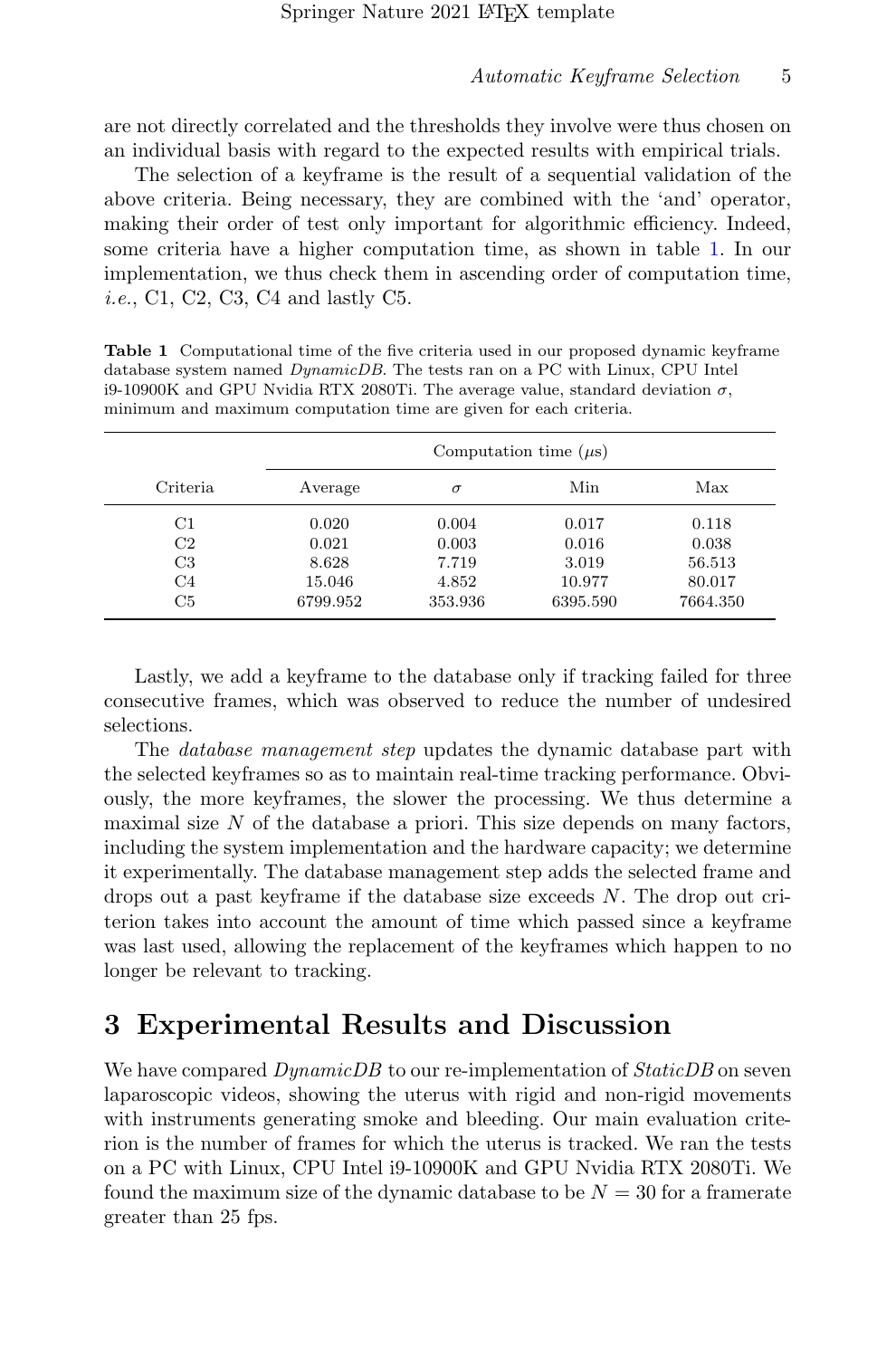are not directly correlated and the thresholds they involve were thus chosen on an individual basis with regard to the expected results with empirical trials.

The selection of a keyframe is the result of a sequential validation of the above criteria. Being necessary, they are combined with the 'and' operator, making their order of test only important for algorithmic efficiency. Indeed, some criteria have a higher computation time, as shown in table [1.](#page-4-0) In our implementation, we thus check them in ascending order of computation time, i.e., C1, C2, C3, C4 and lastly C5.

<span id="page-4-0"></span>Table 1 Computational time of the five criteria used in our proposed dynamic keyframe database system named DynamicDB. The tests ran on a PC with Linux, CPU Intel i9-10900K and GPU Nvidia RTX 2080Ti. The average value, standard deviation  $\sigma$ , minimum and maximum computation time are given for each criteria.

|                | Computation time $(\mu s)$ |          |          |          |  |  |
|----------------|----------------------------|----------|----------|----------|--|--|
| Criteria       | Average                    | $\sigma$ | Min      | Max      |  |  |
| $_{\rm C1}$    | 0.020                      | 0.004    | 0.017    | 0.118    |  |  |
| C <sub>2</sub> | 0.021                      | 0.003    | 0.016    | 0.038    |  |  |
| C <sub>3</sub> | 8.628                      | 7.719    | 3.019    | 56.513   |  |  |
| C <sub>4</sub> | 15.046                     | 4.852    | 10.977   | 80.017   |  |  |
| C5             | 6799.952                   | 353.936  | 6395.590 | 7664.350 |  |  |

Lastly, we add a keyframe to the database only if tracking failed for three consecutive frames, which was observed to reduce the number of undesired selections.

The database management step updates the dynamic database part with the selected keyframes so as to maintain real-time tracking performance. Obviously, the more keyframes, the slower the processing. We thus determine a maximal size  $N$  of the database a priori. This size depends on many factors, including the system implementation and the hardware capacity; we determine it experimentally. The database management step adds the selected frame and drops out a past keyframe if the database size exceeds N. The drop out criterion takes into account the amount of time which passed since a keyframe was last used, allowing the replacement of the keyframes which happen to no longer be relevant to tracking.

## 3 Experimental Results and Discussion

We have compared  $DynamicDB$  to our re-implementation of  $StaticDB$  on seven laparoscopic videos, showing the uterus with rigid and non-rigid movements with instruments generating smoke and bleeding. Our main evaluation criterion is the number of frames for which the uterus is tracked. We ran the tests on a PC with Linux, CPU Intel i9-10900K and GPU Nvidia RTX 2080Ti. We found the maximum size of the dynamic database to be  $N = 30$  for a framerate greater than 25 fps.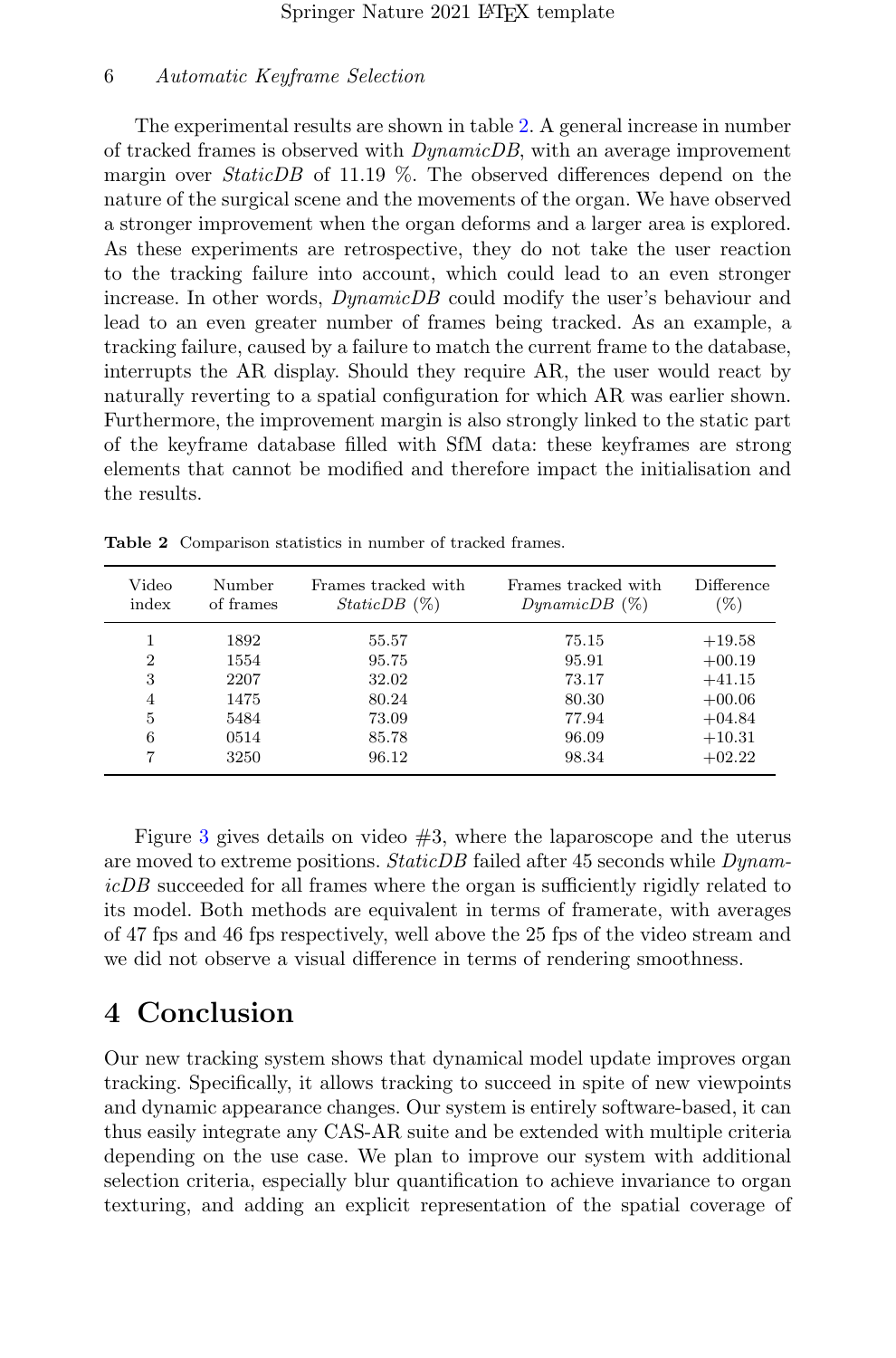The experimental results are shown in table [2.](#page-5-0) A general increase in number of tracked frames is observed with DynamicDB, with an average improvement margin over *StaticDB* of 11.19  $\%$ . The observed differences depend on the nature of the surgical scene and the movements of the organ. We have observed a stronger improvement when the organ deforms and a larger area is explored. As these experiments are retrospective, they do not take the user reaction to the tracking failure into account, which could lead to an even stronger increase. In other words, DynamicDB could modify the user's behaviour and lead to an even greater number of frames being tracked. As an example, a tracking failure, caused by a failure to match the current frame to the database, interrupts the AR display. Should they require AR, the user would react by naturally reverting to a spatial configuration for which AR was earlier shown. Furthermore, the improvement margin is also strongly linked to the static part of the keyframe database filled with SfM data: these keyframes are strong elements that cannot be modified and therefore impact the initialisation and the results.

| Video                                           | Number                                               | Frames tracked with                                         | Frames tracked with                                         | Difference                                                                       |
|-------------------------------------------------|------------------------------------------------------|-------------------------------------------------------------|-------------------------------------------------------------|----------------------------------------------------------------------------------|
| index                                           | of frames                                            | $StaticDB$ $(\%)$                                           | $DynamicDB(\%)$                                             | $(\%)$                                                                           |
| $\overline{2}$<br>3<br>$\overline{4}$<br>5<br>6 | 1892<br>1554<br>2207<br>1475<br>5484<br>0514<br>3250 | 55.57<br>95.75<br>32.02<br>80.24<br>73.09<br>85.78<br>96.12 | 75.15<br>95.91<br>73.17<br>80.30<br>77.94<br>96.09<br>98.34 | $+19.58$<br>$+00.19$<br>$+41.15$<br>$+00.06$<br>$+04.84$<br>$+10.31$<br>$+02.22$ |

<span id="page-5-0"></span>Table 2 Comparison statistics in number of tracked frames.

Figure [3](#page-6-0) gives details on video  $#3$ , where the laparoscope and the uterus are moved to extreme positions. Static DB failed after 45 seconds while  $Dynamic$ icDB succeeded for all frames where the organ is sufficiently rigidly related to its model. Both methods are equivalent in terms of framerate, with averages of 47 fps and 46 fps respectively, well above the 25 fps of the video stream and we did not observe a visual difference in terms of rendering smoothness.

## 4 Conclusion

Our new tracking system shows that dynamical model update improves organ tracking. Specifically, it allows tracking to succeed in spite of new viewpoints and dynamic appearance changes. Our system is entirely software-based, it can thus easily integrate any CAS-AR suite and be extended with multiple criteria depending on the use case. We plan to improve our system with additional selection criteria, especially blur quantification to achieve invariance to organ texturing, and adding an explicit representation of the spatial coverage of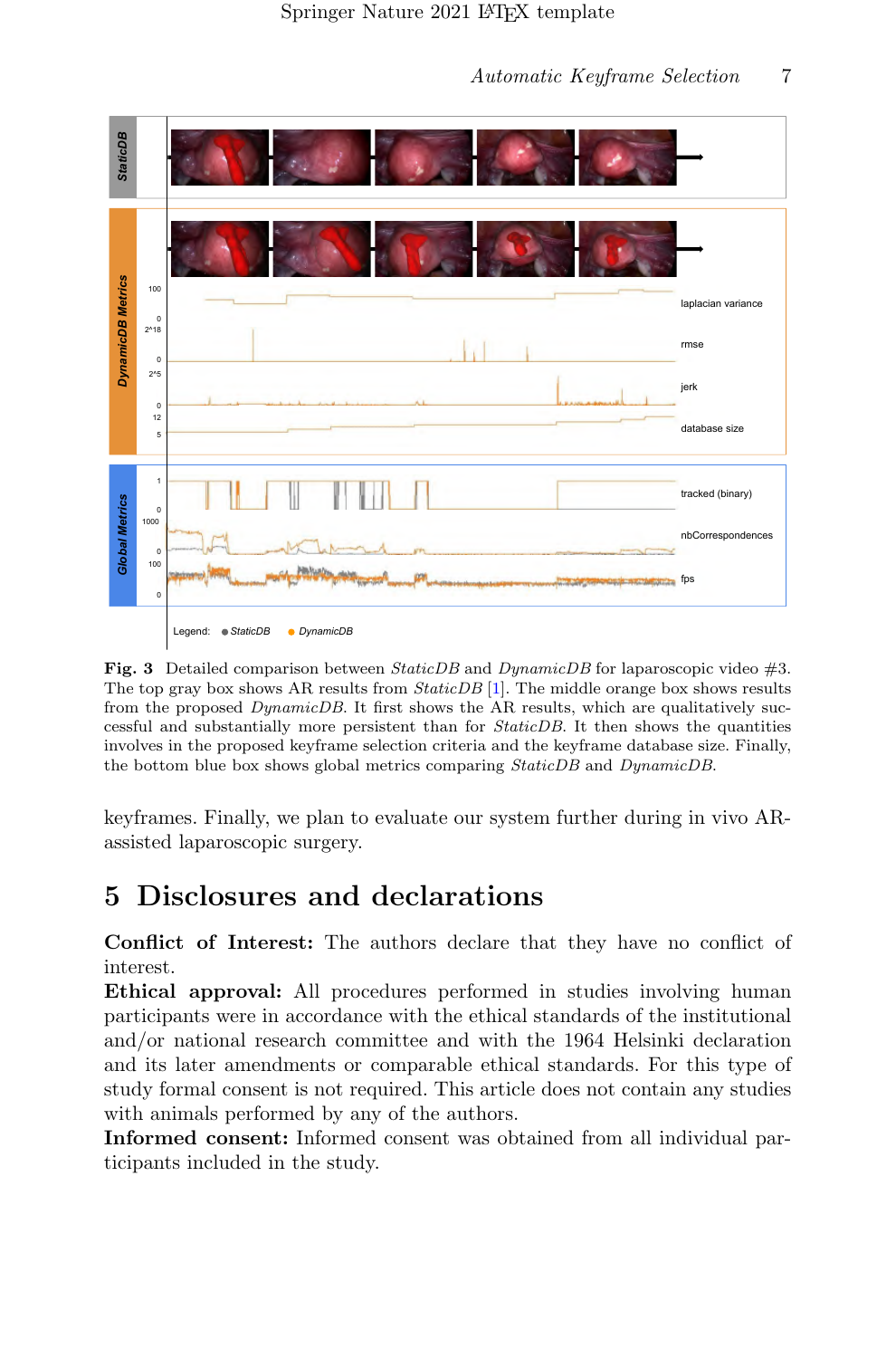

<span id="page-6-0"></span>Fig. 3 Detailed comparison between  $StaticDB$  and  $DynamicDB$  for laparoscopic video #3. The top gray box shows AR results from *StaticDB* [\[1\]](#page-7-0). The middle orange box shows results from the proposed *DynamicDB*. It first shows the AR results, which are qualitatively successful and substantially more persistent than for StaticDB. It then shows the quantities involves in the proposed keyframe selection criteria and the keyframe database size. Finally, the bottom blue box shows global metrics comparing *StaticDB* and *DynamicDB*.

keyframes. Finally, we plan to evaluate our system further during in vivo ARassisted laparoscopic surgery.

## 5 Disclosures and declarations

Conflict of Interest: The authors declare that they have no conflict of interest.

Ethical approval: All procedures performed in studies involving human participants were in accordance with the ethical standards of the institutional and/or national research committee and with the 1964 Helsinki declaration and its later amendments or comparable ethical standards. For this type of study formal consent is not required. This article does not contain any studies with animals performed by any of the authors.

Informed consent: Informed consent was obtained from all individual participants included in the study.